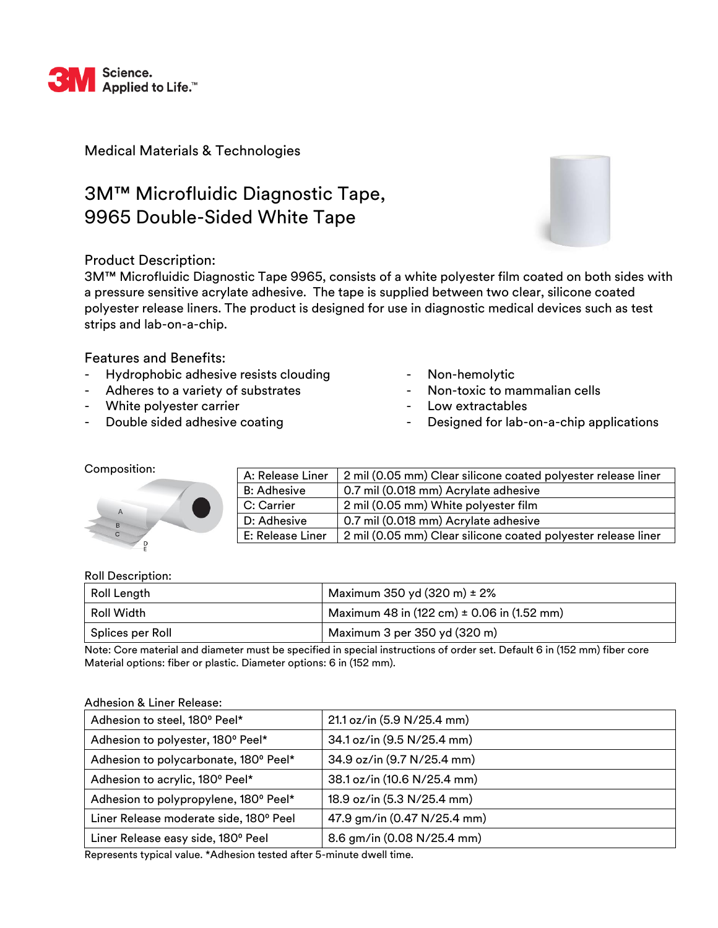

Medical Materials & Technologies

# 3M™ Microfluidic Diagnostic Tape, 9965 Double-Sided White Tape



## Product Description:

3M™ Microfluidic Diagnostic Tape 9965, consists of a white polyester film coated on both sides with a pressure sensitive acrylate adhesive. The tape is supplied between two clear, silicone coated polyester release liners. The product is designed for use in diagnostic medical devices such as test strips and lab-on-a-chip.

Features and Benefits:

- Hydrophobic adhesive resists clouding
- Adheres to a variety of substrates
- White polyester carrier
- Double sided adhesive coating
- Non-hemolytic
- Non-toxic to mammalian cells
- Low extractables
- Designed for lab-on-a-chip applications

### Composition:

| $\mathsf{C}$ |   |  |  |
|--------------|---|--|--|
|              | P |  |  |

| A: Release Liner   | 2 mil (0.05 mm) Clear silicone coated polyester release liner |
|--------------------|---------------------------------------------------------------|
| <b>B: Adhesive</b> | 0.7 mil (0.018 mm) Acrylate adhesive                          |
| C: Carrier         | 2 mil (0.05 mm) White polyester film                          |
| D: Adhesive        | 0.7 mil (0.018 mm) Acrylate adhesive                          |
| E: Release Liner   | 2 mil (0.05 mm) Clear silicone coated polyester release liner |

### Roll Description:

| Roll Length      | Maximum 350 yd $(320 \text{ m}) \pm 2\%$                         |  |
|------------------|------------------------------------------------------------------|--|
| Roll Width       | Maximum 48 in $(122 \text{ cm}) \pm 0.06$ in $(1.52 \text{ mm})$ |  |
| Splices per Roll | Maximum 3 per 350 yd (320 m)                                     |  |

Note: Core material and diameter must be specified in special instructions of order set. Default 6 in (152 mm) fiber core Material options: fiber or plastic. Diameter options: 6 in (152 mm).

### Adhesion & Liner Release:

| Adhesion to steel, 180° Peel*          | 21.1 oz/in (5.9 N/25.4 mm)  |  |  |
|----------------------------------------|-----------------------------|--|--|
| Adhesion to polyester, 180° Peel*      | 34.1 oz/in (9.5 N/25.4 mm)  |  |  |
| Adhesion to polycarbonate, 180° Peel*  | 34.9 oz/in (9.7 N/25.4 mm)  |  |  |
| Adhesion to acrylic, 180° Peel*        | 38.1 oz/in (10.6 N/25.4 mm) |  |  |
| Adhesion to polypropylene, 180° Peel*  | 18.9 oz/in (5.3 N/25.4 mm)  |  |  |
| Liner Release moderate side, 180° Peel | 47.9 gm/in (0.47 N/25.4 mm) |  |  |
| Liner Release easy side, 180° Peel     | 8.6 gm/in (0.08 N/25.4 mm)  |  |  |

Represents typical value. \*Adhesion tested after 5-minute dwell time.